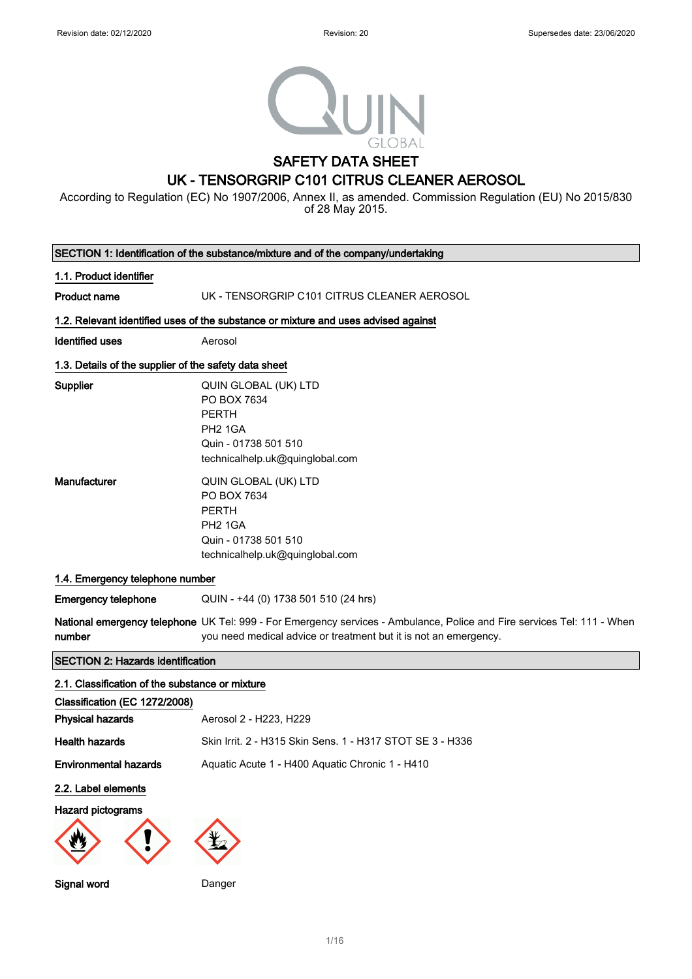

According to Regulation (EC) No 1907/2006, Annex II, as amended. Commission Regulation (EU) No 2015/830 of 28 May 2015.

|                                                       | SECTION 1: Identification of the substance/mixture and of the company/undertaking                                                                                                           |
|-------------------------------------------------------|---------------------------------------------------------------------------------------------------------------------------------------------------------------------------------------------|
| 1.1. Product identifier                               |                                                                                                                                                                                             |
| <b>Product name</b>                                   | UK - TENSORGRIP C101 CITRUS CLEANER AEROSOL                                                                                                                                                 |
|                                                       | 1.2. Relevant identified uses of the substance or mixture and uses advised against                                                                                                          |
| <b>Identified uses</b>                                | Aerosol                                                                                                                                                                                     |
| 1.3. Details of the supplier of the safety data sheet |                                                                                                                                                                                             |
| Supplier                                              | QUIN GLOBAL (UK) LTD<br>PO BOX 7634<br><b>PERTH</b><br><b>PH2 1GA</b><br>Quin - 01738 501 510<br>technicalhelp.uk@quinglobal.com                                                            |
| Manufacturer                                          | QUIN GLOBAL (UK) LTD<br>PO BOX 7634<br><b>PERTH</b><br><b>PH2 1GA</b><br>Quin - 01738 501 510<br>technicalhelp.uk@quinglobal.com                                                            |
| 1.4. Emergency telephone number                       |                                                                                                                                                                                             |
| <b>Emergency telephone</b>                            | QUIN - +44 (0) 1738 501 510 (24 hrs)                                                                                                                                                        |
| number                                                | National emergency telephone UK Tel: 999 - For Emergency services - Ambulance, Police and Fire services Tel: 111 - When<br>you need medical advice or treatment but it is not an emergency. |
| <b>SECTION 2: Hazards identification</b>              |                                                                                                                                                                                             |
| 2.1. Classification of the substance or mixture       |                                                                                                                                                                                             |
| Classification (EC 1272/2008)                         |                                                                                                                                                                                             |
| <b>Physical hazards</b>                               | Aerosol 2 - H223, H229                                                                                                                                                                      |
| <b>Health hazards</b>                                 | Skin Irrit. 2 - H315 Skin Sens. 1 - H317 STOT SE 3 - H336                                                                                                                                   |
| <b>Environmental hazards</b>                          | Aquatic Acute 1 - H400 Aquatic Chronic 1 - H410                                                                                                                                             |
| 2.2. Label elements                                   |                                                                                                                                                                                             |
| <b>Hazard pictograms</b>                              |                                                                                                                                                                                             |
| Signal word                                           | Danger                                                                                                                                                                                      |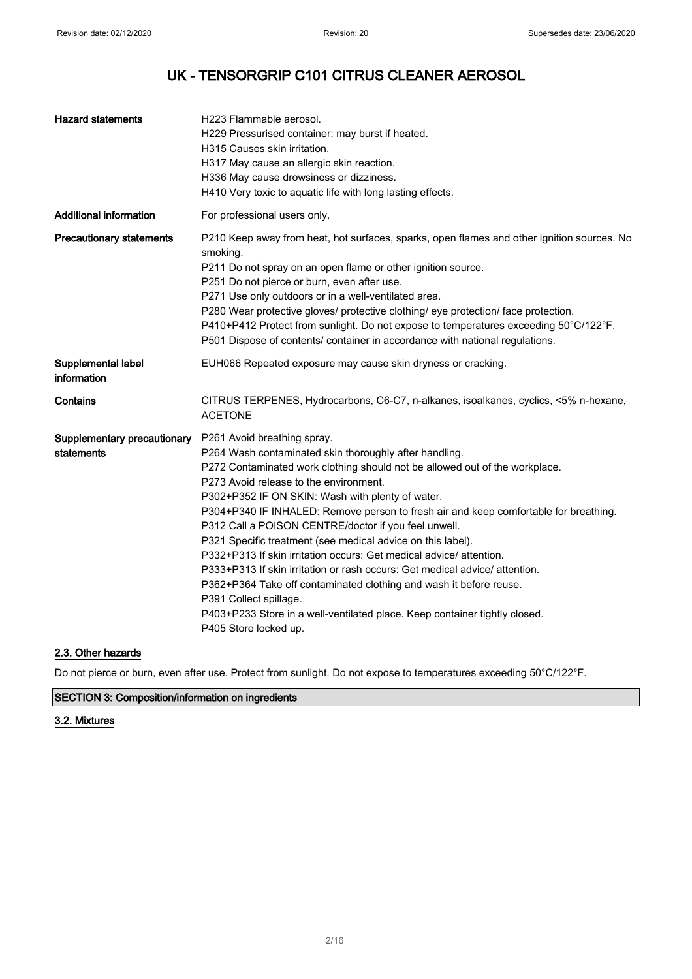| <b>Hazard statements</b>                  | H223 Flammable aerosol.<br>H229 Pressurised container: may burst if heated.<br>H315 Causes skin irritation.<br>H317 May cause an allergic skin reaction.<br>H336 May cause drowsiness or dizziness.<br>H410 Very toxic to aquatic life with long lasting effects.                                                                                                                                                                                                                                                                                                                                                                                                                                                                                                                                                                              |
|-------------------------------------------|------------------------------------------------------------------------------------------------------------------------------------------------------------------------------------------------------------------------------------------------------------------------------------------------------------------------------------------------------------------------------------------------------------------------------------------------------------------------------------------------------------------------------------------------------------------------------------------------------------------------------------------------------------------------------------------------------------------------------------------------------------------------------------------------------------------------------------------------|
| <b>Additional information</b>             | For professional users only.                                                                                                                                                                                                                                                                                                                                                                                                                                                                                                                                                                                                                                                                                                                                                                                                                   |
| <b>Precautionary statements</b>           | P210 Keep away from heat, hot surfaces, sparks, open flames and other ignition sources. No<br>smoking.<br>P211 Do not spray on an open flame or other ignition source.<br>P251 Do not pierce or burn, even after use.<br>P271 Use only outdoors or in a well-ventilated area.<br>P280 Wear protective gloves/ protective clothing/ eye protection/ face protection.<br>P410+P412 Protect from sunlight. Do not expose to temperatures exceeding 50°C/122°F.<br>P501 Dispose of contents/ container in accordance with national regulations.                                                                                                                                                                                                                                                                                                    |
| Supplemental label<br>information         | EUH066 Repeated exposure may cause skin dryness or cracking.                                                                                                                                                                                                                                                                                                                                                                                                                                                                                                                                                                                                                                                                                                                                                                                   |
| Contains                                  | CITRUS TERPENES, Hydrocarbons, C6-C7, n-alkanes, isoalkanes, cyclics, <5% n-hexane,<br><b>ACETONE</b>                                                                                                                                                                                                                                                                                                                                                                                                                                                                                                                                                                                                                                                                                                                                          |
| Supplementary precautionary<br>statements | P261 Avoid breathing spray.<br>P264 Wash contaminated skin thoroughly after handling.<br>P272 Contaminated work clothing should not be allowed out of the workplace.<br>P273 Avoid release to the environment.<br>P302+P352 IF ON SKIN: Wash with plenty of water.<br>P304+P340 IF INHALED: Remove person to fresh air and keep comfortable for breathing.<br>P312 Call a POISON CENTRE/doctor if you feel unwell.<br>P321 Specific treatment (see medical advice on this label).<br>P332+P313 If skin irritation occurs: Get medical advice/ attention.<br>P333+P313 If skin irritation or rash occurs: Get medical advice/ attention.<br>P362+P364 Take off contaminated clothing and wash it before reuse.<br>P391 Collect spillage.<br>P403+P233 Store in a well-ventilated place. Keep container tightly closed.<br>P405 Store locked up. |

### 2.3. Other hazards

Do not pierce or burn, even after use. Protect from sunlight. Do not expose to temperatures exceeding 50°C/122°F.

### SECTION 3: Composition/information on ingredients

### 3.2. Mixtures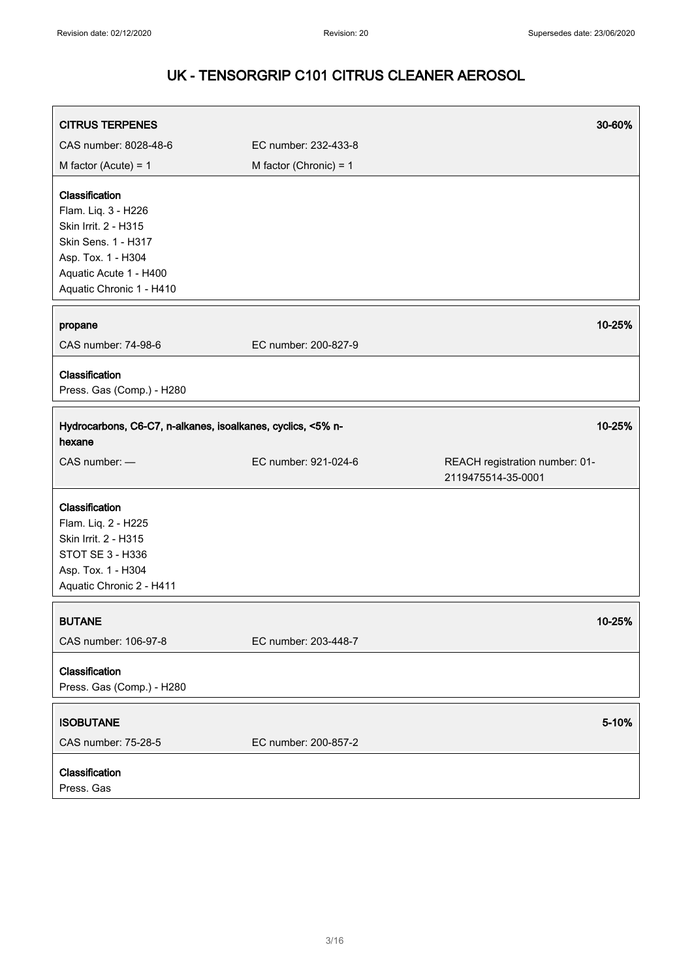| <b>CITRUS TERPENES</b>                                                                                                                                           |                          | 30-60%                                               |
|------------------------------------------------------------------------------------------------------------------------------------------------------------------|--------------------------|------------------------------------------------------|
| CAS number: 8028-48-6                                                                                                                                            | EC number: 232-433-8     |                                                      |
| M factor (Acute) = $1$                                                                                                                                           | M factor (Chronic) = $1$ |                                                      |
| Classification<br>Flam. Liq. 3 - H226<br>Skin Irrit. 2 - H315<br>Skin Sens. 1 - H317<br>Asp. Tox. 1 - H304<br>Aquatic Acute 1 - H400<br>Aquatic Chronic 1 - H410 |                          |                                                      |
| propane<br>CAS number: 74-98-6                                                                                                                                   | EC number: 200-827-9     | 10-25%                                               |
| Classification<br>Press. Gas (Comp.) - H280                                                                                                                      |                          |                                                      |
| Hydrocarbons, C6-C7, n-alkanes, isoalkanes, cyclics, <5% n-<br>hexane                                                                                            |                          | 10-25%                                               |
| CAS number: -                                                                                                                                                    | EC number: 921-024-6     | REACH registration number: 01-<br>2119475514-35-0001 |
| Classification<br>Flam. Liq. 2 - H225<br>Skin Irrit. 2 - H315<br>STOT SE 3 - H336<br>Asp. Tox. 1 - H304<br>Aquatic Chronic 2 - H411                              |                          |                                                      |
| <b>BUTANE</b><br>CAS number: 106-97-8                                                                                                                            | EC number: 203-448-7     | 10-25%                                               |
| Classification<br>Press. Gas (Comp.) - H280                                                                                                                      |                          |                                                      |
| <b>ISOBUTANE</b><br>CAS number: 75-28-5                                                                                                                          | EC number: 200-857-2     | 5-10%                                                |
| Classification<br>Press. Gas                                                                                                                                     |                          |                                                      |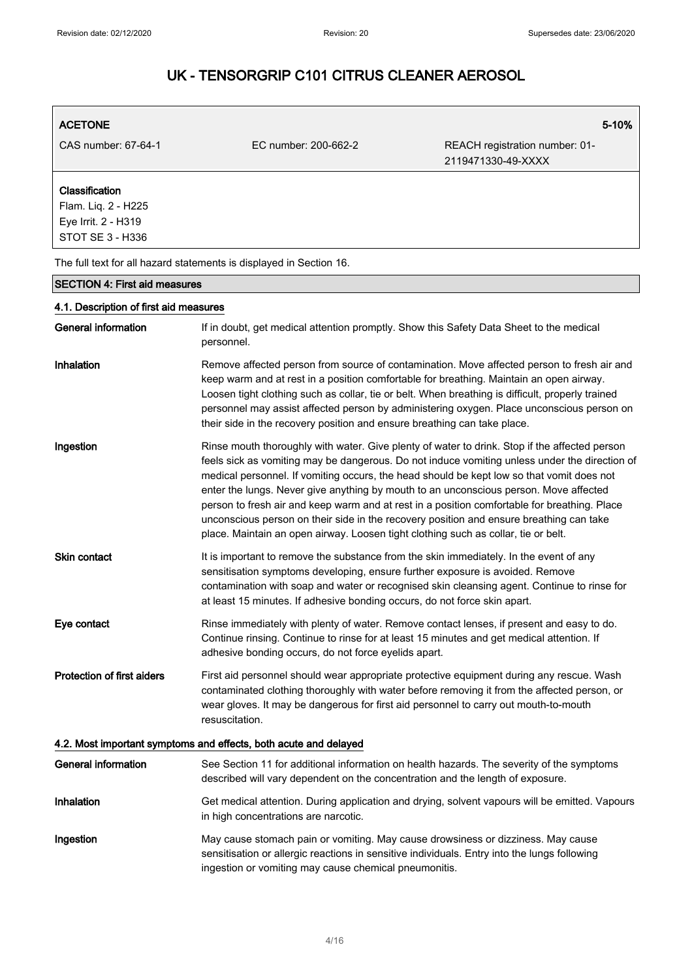### ACETONE 5-10% CAS number: 67-64-1 EC number: 200-662-2 REACH registration number: 01- 2119471330-49-XXXX Classification Flam. Liq. 2 - H225 Eye Irrit. 2 - H319 STOT SE 3 - H336 The full text for all hazard statements is displayed in Section 16. SECTION 4: First aid measures 4.1. Description of first aid measures General information If in doubt, get medical attention promptly. Show this Safety Data Sheet to the medical personnel. Inhalation Remove affected person from source of contamination. Move affected person to fresh air and keep warm and at rest in a position comfortable for breathing. Maintain an open airway. Loosen tight clothing such as collar, tie or belt. When breathing is difficult, properly trained personnel may assist affected person by administering oxygen. Place unconscious person on their side in the recovery position and ensure breathing can take place. Ingestion **Rinse mouth thoroughly with water. Give plenty of water to drink. Stop if the affected person** feels sick as vomiting may be dangerous. Do not induce vomiting unless under the direction of medical personnel. If vomiting occurs, the head should be kept low so that vomit does not enter the lungs. Never give anything by mouth to an unconscious person. Move affected person to fresh air and keep warm and at rest in a position comfortable for breathing. Place unconscious person on their side in the recovery position and ensure breathing can take place. Maintain an open airway. Loosen tight clothing such as collar, tie or belt. Skin contact **It is important to remove the substance from the skin immediately.** In the event of any sensitisation symptoms developing, ensure further exposure is avoided. Remove contamination with soap and water or recognised skin cleansing agent. Continue to rinse for at least 15 minutes. If adhesive bonding occurs, do not force skin apart. Eye contact **Rinse immediately with plenty of water. Remove contact lenses, if present and easy to do.** Continue rinsing. Continue to rinse for at least 15 minutes and get medical attention. If adhesive bonding occurs, do not force eyelids apart. Protection of first aiders First aid personnel should wear appropriate protective equipment during any rescue. Wash contaminated clothing thoroughly with water before removing it from the affected person, or wear gloves. It may be dangerous for first aid personnel to carry out mouth-to-mouth resuscitation. 4.2. Most important symptoms and effects, both acute and delayed General information See Section 11 for additional information on health hazards. The severity of the symptoms described will vary dependent on the concentration and the length of exposure. Inhalation Get medical attention. During application and drying, solvent vapours will be emitted. Vapours in high concentrations are narcotic. Ingestion **May cause stomach pain or vomiting. May cause drowsiness or dizziness. May cause** sensitisation or allergic reactions in sensitive individuals. Entry into the lungs following ingestion or vomiting may cause chemical pneumonitis.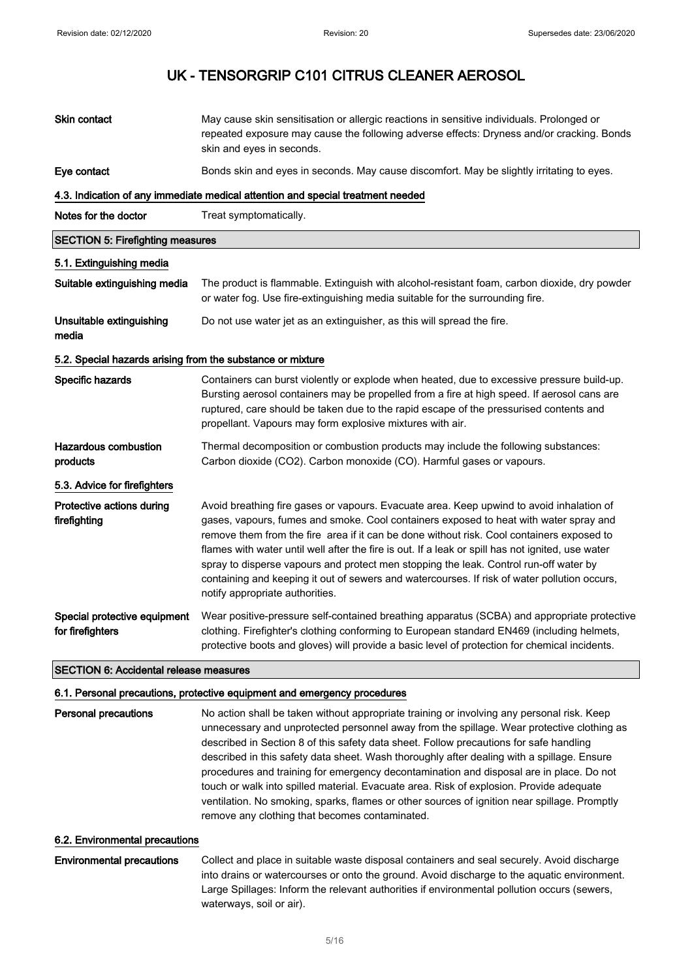| Skin contact                                               | May cause skin sensitisation or allergic reactions in sensitive individuals. Prolonged or<br>repeated exposure may cause the following adverse effects: Dryness and/or cracking. Bonds<br>skin and eyes in seconds.                                                                                                                                                                                                                                                                                                                                                                                             |
|------------------------------------------------------------|-----------------------------------------------------------------------------------------------------------------------------------------------------------------------------------------------------------------------------------------------------------------------------------------------------------------------------------------------------------------------------------------------------------------------------------------------------------------------------------------------------------------------------------------------------------------------------------------------------------------|
| Eye contact                                                | Bonds skin and eyes in seconds. May cause discomfort. May be slightly irritating to eyes.                                                                                                                                                                                                                                                                                                                                                                                                                                                                                                                       |
|                                                            | 4.3. Indication of any immediate medical attention and special treatment needed                                                                                                                                                                                                                                                                                                                                                                                                                                                                                                                                 |
| Notes for the doctor                                       | Treat symptomatically.                                                                                                                                                                                                                                                                                                                                                                                                                                                                                                                                                                                          |
| <b>SECTION 5: Firefighting measures</b>                    |                                                                                                                                                                                                                                                                                                                                                                                                                                                                                                                                                                                                                 |
| 5.1. Extinguishing media                                   |                                                                                                                                                                                                                                                                                                                                                                                                                                                                                                                                                                                                                 |
| Suitable extinguishing media                               | The product is flammable. Extinguish with alcohol-resistant foam, carbon dioxide, dry powder<br>or water fog. Use fire-extinguishing media suitable for the surrounding fire.                                                                                                                                                                                                                                                                                                                                                                                                                                   |
| Unsuitable extinguishing<br>media                          | Do not use water jet as an extinguisher, as this will spread the fire.                                                                                                                                                                                                                                                                                                                                                                                                                                                                                                                                          |
| 5.2. Special hazards arising from the substance or mixture |                                                                                                                                                                                                                                                                                                                                                                                                                                                                                                                                                                                                                 |
| Specific hazards                                           | Containers can burst violently or explode when heated, due to excessive pressure build-up.<br>Bursting aerosol containers may be propelled from a fire at high speed. If aerosol cans are<br>ruptured, care should be taken due to the rapid escape of the pressurised contents and<br>propellant. Vapours may form explosive mixtures with air.                                                                                                                                                                                                                                                                |
| Hazardous combustion<br>products                           | Thermal decomposition or combustion products may include the following substances:<br>Carbon dioxide (CO2). Carbon monoxide (CO). Harmful gases or vapours.                                                                                                                                                                                                                                                                                                                                                                                                                                                     |
| 5.3. Advice for firefighters                               |                                                                                                                                                                                                                                                                                                                                                                                                                                                                                                                                                                                                                 |
| Protective actions during<br>firefighting                  | Avoid breathing fire gases or vapours. Evacuate area. Keep upwind to avoid inhalation of<br>gases, vapours, fumes and smoke. Cool containers exposed to heat with water spray and<br>remove them from the fire area if it can be done without risk. Cool containers exposed to<br>flames with water until well after the fire is out. If a leak or spill has not ignited, use water<br>spray to disperse vapours and protect men stopping the leak. Control run-off water by<br>containing and keeping it out of sewers and watercourses. If risk of water pollution occurs,<br>notify appropriate authorities. |
| Special protective equipment<br>for firefighters           | Wear positive-pressure self-contained breathing apparatus (SCBA) and appropriate protective<br>clothing. Firefighter's clothing conforming to European standard EN469 (including helmets,<br>protective boots and gloves) will provide a basic level of protection for chemical incidents.                                                                                                                                                                                                                                                                                                                      |
| <b>SECTION 6: Accidental release measures</b>              |                                                                                                                                                                                                                                                                                                                                                                                                                                                                                                                                                                                                                 |

### 6.1. Personal precautions, protective equipment and emergency procedures

Personal precautions No action shall be taken without appropriate training or involving any personal risk. Keep unnecessary and unprotected personnel away from the spillage. Wear protective clothing as described in Section 8 of this safety data sheet. Follow precautions for safe handling described in this safety data sheet. Wash thoroughly after dealing with a spillage. Ensure procedures and training for emergency decontamination and disposal are in place. Do not touch or walk into spilled material. Evacuate area. Risk of explosion. Provide adequate ventilation. No smoking, sparks, flames or other sources of ignition near spillage. Promptly remove any clothing that becomes contaminated.

#### 6.2. Environmental precautions

### Environmental precautions Collect and place in suitable waste disposal containers and seal securely. Avoid discharge into drains or watercourses or onto the ground. Avoid discharge to the aquatic environment. Large Spillages: Inform the relevant authorities if environmental pollution occurs (sewers, waterways, soil or air).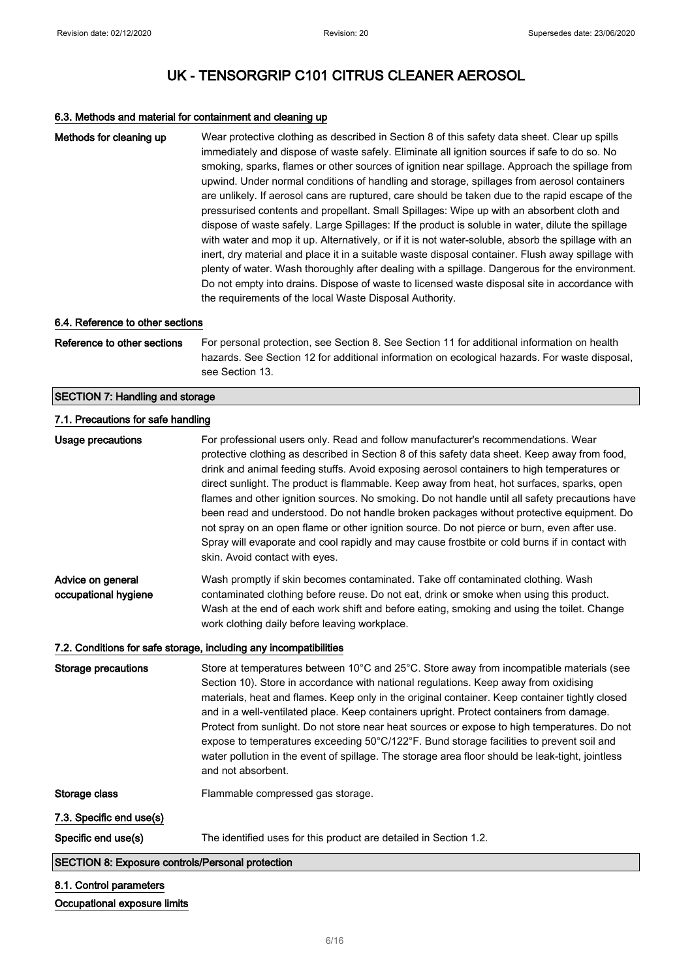### 6.3. Methods and material for containment and cleaning up

| Methods for cleaning up                                 | Wear protective clothing as described in Section 8 of this safety data sheet. Clear up spills<br>immediately and dispose of waste safely. Eliminate all ignition sources if safe to do so. No<br>smoking, sparks, flames or other sources of ignition near spillage. Approach the spillage from<br>upwind. Under normal conditions of handling and storage, spillages from aerosol containers<br>are unlikely. If aerosol cans are ruptured, care should be taken due to the rapid escape of the<br>pressurised contents and propellant. Small Spillages: Wipe up with an absorbent cloth and<br>dispose of waste safely. Large Spillages: If the product is soluble in water, dilute the spillage<br>with water and mop it up. Alternatively, or if it is not water-soluble, absorb the spillage with an<br>inert, dry material and place it in a suitable waste disposal container. Flush away spillage with<br>plenty of water. Wash thoroughly after dealing with a spillage. Dangerous for the environment.<br>Do not empty into drains. Dispose of waste to licensed waste disposal site in accordance with<br>the requirements of the local Waste Disposal Authority. |
|---------------------------------------------------------|------------------------------------------------------------------------------------------------------------------------------------------------------------------------------------------------------------------------------------------------------------------------------------------------------------------------------------------------------------------------------------------------------------------------------------------------------------------------------------------------------------------------------------------------------------------------------------------------------------------------------------------------------------------------------------------------------------------------------------------------------------------------------------------------------------------------------------------------------------------------------------------------------------------------------------------------------------------------------------------------------------------------------------------------------------------------------------------------------------------------------------------------------------------------------|
| 6.4. Reference to other sections                        |                                                                                                                                                                                                                                                                                                                                                                                                                                                                                                                                                                                                                                                                                                                                                                                                                                                                                                                                                                                                                                                                                                                                                                              |
| Reference to other sections                             | For personal protection, see Section 8. See Section 11 for additional information on health<br>hazards. See Section 12 for additional information on ecological hazards. For waste disposal,<br>see Section 13.                                                                                                                                                                                                                                                                                                                                                                                                                                                                                                                                                                                                                                                                                                                                                                                                                                                                                                                                                              |
| <b>SECTION 7: Handling and storage</b>                  |                                                                                                                                                                                                                                                                                                                                                                                                                                                                                                                                                                                                                                                                                                                                                                                                                                                                                                                                                                                                                                                                                                                                                                              |
| 7.1. Precautions for safe handling                      |                                                                                                                                                                                                                                                                                                                                                                                                                                                                                                                                                                                                                                                                                                                                                                                                                                                                                                                                                                                                                                                                                                                                                                              |
| Usage precautions                                       | For professional users only. Read and follow manufacturer's recommendations. Wear<br>protective clothing as described in Section 8 of this safety data sheet. Keep away from food,<br>drink and animal feeding stuffs. Avoid exposing aerosol containers to high temperatures or<br>direct sunlight. The product is flammable. Keep away from heat, hot surfaces, sparks, open<br>flames and other ignition sources. No smoking. Do not handle until all safety precautions have<br>been read and understood. Do not handle broken packages without protective equipment. Do<br>not spray on an open flame or other ignition source. Do not pierce or burn, even after use.<br>Spray will evaporate and cool rapidly and may cause frostbite or cold burns if in contact with<br>skin. Avoid contact with eyes.                                                                                                                                                                                                                                                                                                                                                              |
| Advice on general<br>occupational hygiene               | Wash promptly if skin becomes contaminated. Take off contaminated clothing. Wash<br>contaminated clothing before reuse. Do not eat, drink or smoke when using this product.<br>Wash at the end of each work shift and before eating, smoking and using the toilet. Change<br>work clothing daily before leaving workplace.                                                                                                                                                                                                                                                                                                                                                                                                                                                                                                                                                                                                                                                                                                                                                                                                                                                   |
|                                                         | 7.2. Conditions for safe storage, including any incompatibilities                                                                                                                                                                                                                                                                                                                                                                                                                                                                                                                                                                                                                                                                                                                                                                                                                                                                                                                                                                                                                                                                                                            |
| <b>Storage precautions</b>                              | Store at temperatures between 10°C and 25°C. Store away from incompatible materials (see<br>Section 10). Store in accordance with national regulations. Keep away from oxidising<br>materials, heat and flames. Keep only in the original container. Keep container tightly closed<br>and in a well-ventilated place. Keep containers upright. Protect containers from damage.<br>Protect from sunlight. Do not store near heat sources or expose to high temperatures. Do not<br>expose to temperatures exceeding 50°C/122°F. Bund storage facilities to prevent soil and<br>water pollution in the event of spillage. The storage area floor should be leak-tight, jointless<br>and not absorbent.                                                                                                                                                                                                                                                                                                                                                                                                                                                                         |
| Storage class                                           | Flammable compressed gas storage.                                                                                                                                                                                                                                                                                                                                                                                                                                                                                                                                                                                                                                                                                                                                                                                                                                                                                                                                                                                                                                                                                                                                            |
| 7.3. Specific end use(s)                                |                                                                                                                                                                                                                                                                                                                                                                                                                                                                                                                                                                                                                                                                                                                                                                                                                                                                                                                                                                                                                                                                                                                                                                              |
| Specific end use(s)                                     | The identified uses for this product are detailed in Section 1.2.                                                                                                                                                                                                                                                                                                                                                                                                                                                                                                                                                                                                                                                                                                                                                                                                                                                                                                                                                                                                                                                                                                            |
| <b>SECTION 8: Exposure controls/Personal protection</b> |                                                                                                                                                                                                                                                                                                                                                                                                                                                                                                                                                                                                                                                                                                                                                                                                                                                                                                                                                                                                                                                                                                                                                                              |
| 8.1. Control parameters                                 |                                                                                                                                                                                                                                                                                                                                                                                                                                                                                                                                                                                                                                                                                                                                                                                                                                                                                                                                                                                                                                                                                                                                                                              |
| Occupational exposure limits                            |                                                                                                                                                                                                                                                                                                                                                                                                                                                                                                                                                                                                                                                                                                                                                                                                                                                                                                                                                                                                                                                                                                                                                                              |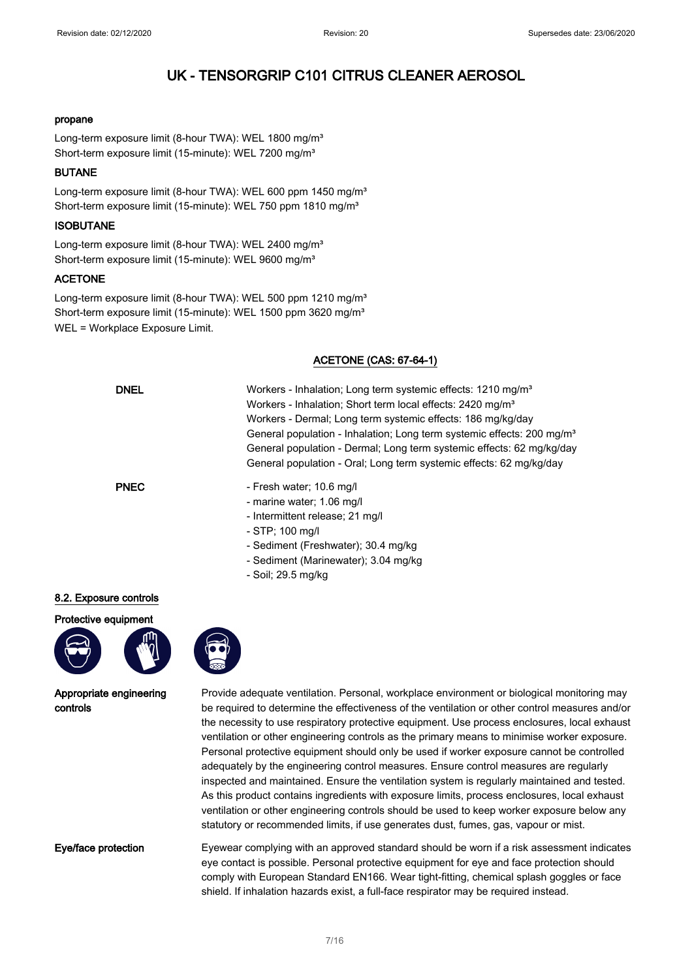#### propane

Long-term exposure limit (8-hour TWA): WEL 1800 mg/m<sup>3</sup> Short-term exposure limit (15-minute): WEL 7200 mg/m<sup>3</sup>

#### BUTANE

Long-term exposure limit (8-hour TWA): WEL 600 ppm 1450 mg/m<sup>3</sup> Short-term exposure limit (15-minute): WEL 750 ppm 1810 mg/m<sup>3</sup>

#### **ISOBUTANE**

Long-term exposure limit (8-hour TWA): WEL 2400 mg/m<sup>3</sup> Short-term exposure limit (15-minute): WEL 9600 mg/m<sup>3</sup>

### ACETONE

Long-term exposure limit (8-hour TWA): WEL 500 ppm 1210 mg/m<sup>3</sup> Short-term exposure limit (15-minute): WEL 1500 ppm 3620 mg/m<sup>3</sup> WEL = Workplace Exposure Limit.

### ACETONE (CAS: 67-64-1)

| <b>DNEL</b> | Workers - Inhalation; Long term systemic effects: 1210 mg/m <sup>3</sup><br>Workers - Inhalation; Short term local effects: 2420 mg/m <sup>3</sup><br>Workers - Dermal; Long term systemic effects: 186 mg/kg/day<br>General population - Inhalation; Long term systemic effects: 200 mg/m <sup>3</sup><br>General population - Dermal; Long term systemic effects: 62 mg/kg/day<br>General population - Oral; Long term systemic effects: 62 mg/kg/day |
|-------------|---------------------------------------------------------------------------------------------------------------------------------------------------------------------------------------------------------------------------------------------------------------------------------------------------------------------------------------------------------------------------------------------------------------------------------------------------------|
| <b>PNEC</b> | - Fresh water; 10.6 mg/l<br>- marine water; 1.06 mg/l<br>- Intermittent release; 21 mg/l<br>- STP; 100 mg/l<br>- Sediment (Freshwater); 30.4 mg/kg<br>- Sediment (Marinewater); 3.04 mg/kg                                                                                                                                                                                                                                                              |

- Soil; 29.5 mg/kg

#### 8.2. Exposure controls

#### Protective equipment





Appropriate engineering controls

Provide adequate ventilation. Personal, workplace environment or biological monitoring may be required to determine the effectiveness of the ventilation or other control measures and/or the necessity to use respiratory protective equipment. Use process enclosures, local exhaust ventilation or other engineering controls as the primary means to minimise worker exposure. Personal protective equipment should only be used if worker exposure cannot be controlled adequately by the engineering control measures. Ensure control measures are regularly inspected and maintained. Ensure the ventilation system is regularly maintained and tested. As this product contains ingredients with exposure limits, process enclosures, local exhaust ventilation or other engineering controls should be used to keep worker exposure below any statutory or recommended limits, if use generates dust, fumes, gas, vapour or mist.

Eye/face protection Eyewear complying with an approved standard should be worn if a risk assessment indicates eye contact is possible. Personal protective equipment for eye and face protection should comply with European Standard EN166. Wear tight-fitting, chemical splash goggles or face shield. If inhalation hazards exist, a full-face respirator may be required instead.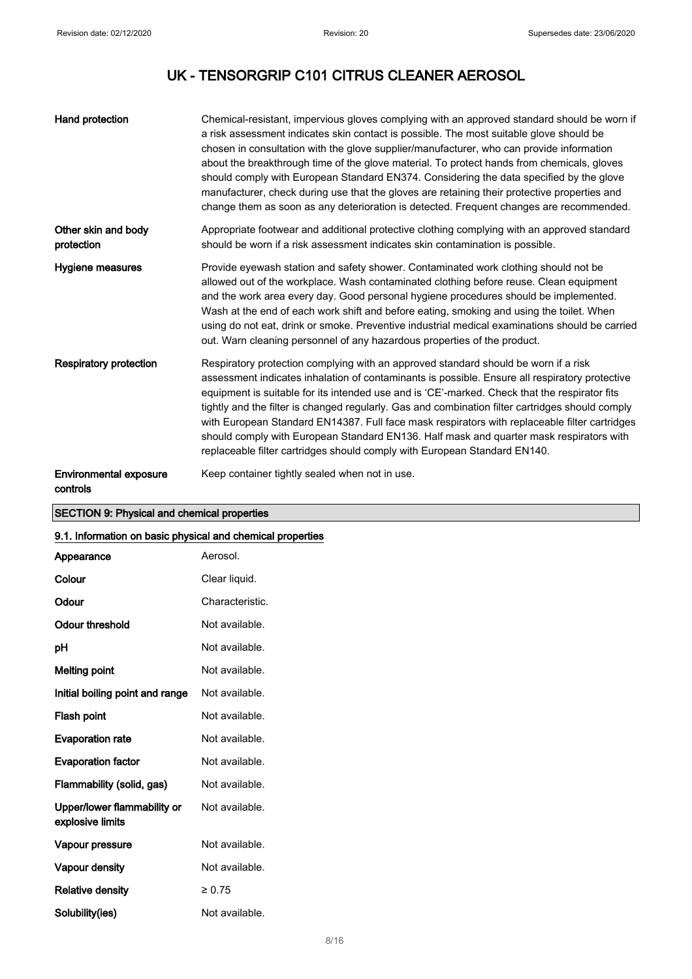| Hand protection                           | Chemical-resistant, impervious gloves complying with an approved standard should be worn if<br>a risk assessment indicates skin contact is possible. The most suitable glove should be<br>chosen in consultation with the glove supplier/manufacturer, who can provide information<br>about the breakthrough time of the glove material. To protect hands from chemicals, gloves<br>should comply with European Standard EN374. Considering the data specified by the glove<br>manufacturer, check during use that the gloves are retaining their protective properties and<br>change them as soon as any deterioration is detected. Frequent changes are recommended. |
|-------------------------------------------|------------------------------------------------------------------------------------------------------------------------------------------------------------------------------------------------------------------------------------------------------------------------------------------------------------------------------------------------------------------------------------------------------------------------------------------------------------------------------------------------------------------------------------------------------------------------------------------------------------------------------------------------------------------------|
| Other skin and body<br>protection         | Appropriate footwear and additional protective clothing complying with an approved standard<br>should be worn if a risk assessment indicates skin contamination is possible.                                                                                                                                                                                                                                                                                                                                                                                                                                                                                           |
| Hygiene measures                          | Provide eyewash station and safety shower. Contaminated work clothing should not be<br>allowed out of the workplace. Wash contaminated clothing before reuse. Clean equipment<br>and the work area every day. Good personal hygiene procedures should be implemented.<br>Wash at the end of each work shift and before eating, smoking and using the toilet. When<br>using do not eat, drink or smoke. Preventive industrial medical examinations should be carried<br>out. Warn cleaning personnel of any hazardous properties of the product.                                                                                                                        |
| <b>Respiratory protection</b>             | Respiratory protection complying with an approved standard should be worn if a risk<br>assessment indicates inhalation of contaminants is possible. Ensure all respiratory protective<br>equipment is suitable for its intended use and is 'CE'-marked. Check that the respirator fits<br>tightly and the filter is changed regularly. Gas and combination filter cartridges should comply<br>with European Standard EN14387. Full face mask respirators with replaceable filter cartridges<br>should comply with European Standard EN136. Half mask and quarter mask respirators with<br>replaceable filter cartridges should comply with European Standard EN140.    |
| <b>Environmental exposure</b><br>controls | Keep container tightly sealed when not in use.                                                                                                                                                                                                                                                                                                                                                                                                                                                                                                                                                                                                                         |

### SECTION 9: Physical and chemical properties

### 9.1. Information on basic physical and chemical properties

| 9.1. Information on basic priysical and chemical properties |                 |
|-------------------------------------------------------------|-----------------|
| Appearance                                                  | Aerosol.        |
| Colour                                                      | Clear liquid.   |
| Odour                                                       | Characteristic. |
| <b>Odour threshold</b>                                      | Not available.  |
| рH                                                          | Not available.  |
| <b>Melting point</b>                                        | Not available.  |
| Initial boiling point and range                             | Not available.  |
| Flash point                                                 | Not available.  |
| <b>Evaporation rate</b>                                     | Not available.  |
| <b>Evaporation factor</b>                                   | Not available.  |
| Flammability (solid, gas)                                   | Not available.  |
| Upper/lower flammability or<br>explosive limits             | Not available.  |
| Vapour pressure                                             | Not available.  |
| Vapour density                                              | Not available.  |
| <b>Relative density</b>                                     | $\ge 0.75$      |
| Solubility(ies)                                             | Not available.  |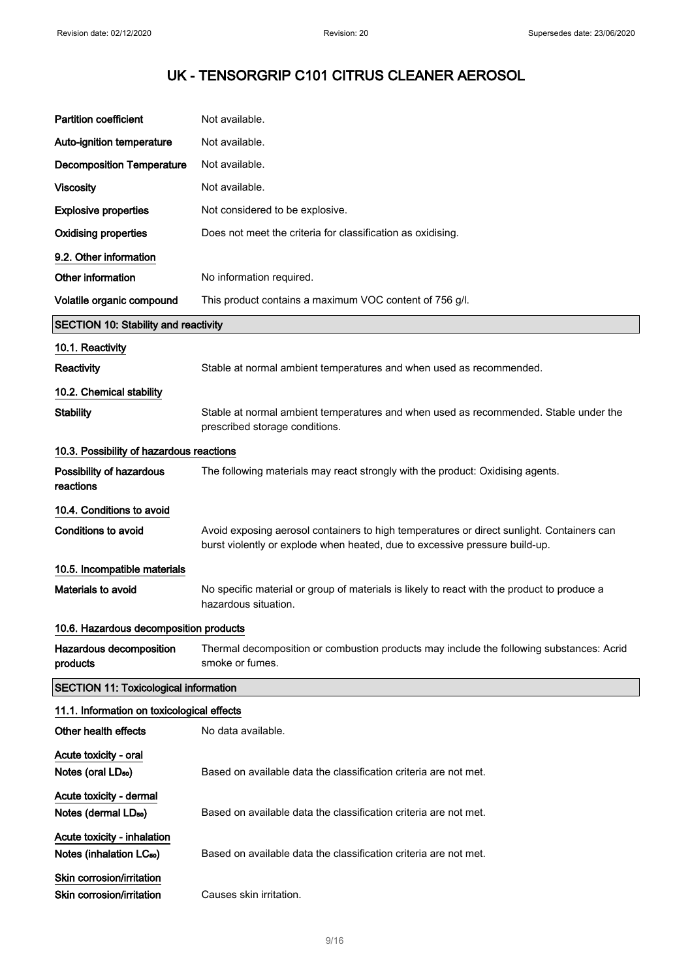| <b>Partition coefficient</b>                                        | Not available.                                                                                                                                                           |
|---------------------------------------------------------------------|--------------------------------------------------------------------------------------------------------------------------------------------------------------------------|
| Auto-ignition temperature                                           | Not available.                                                                                                                                                           |
| <b>Decomposition Temperature</b>                                    | Not available.                                                                                                                                                           |
| <b>Viscosity</b>                                                    | Not available.                                                                                                                                                           |
| <b>Explosive properties</b>                                         | Not considered to be explosive.                                                                                                                                          |
| <b>Oxidising properties</b>                                         | Does not meet the criteria for classification as oxidising.                                                                                                              |
| 9.2. Other information                                              |                                                                                                                                                                          |
| Other information                                                   | No information required.                                                                                                                                                 |
| Volatile organic compound                                           | This product contains a maximum VOC content of 756 g/l.                                                                                                                  |
| <b>SECTION 10: Stability and reactivity</b>                         |                                                                                                                                                                          |
| 10.1. Reactivity                                                    |                                                                                                                                                                          |
| <b>Reactivity</b>                                                   | Stable at normal ambient temperatures and when used as recommended.                                                                                                      |
| 10.2. Chemical stability                                            |                                                                                                                                                                          |
| <b>Stability</b>                                                    | Stable at normal ambient temperatures and when used as recommended. Stable under the<br>prescribed storage conditions.                                                   |
| 10.3. Possibility of hazardous reactions                            |                                                                                                                                                                          |
| Possibility of hazardous<br>reactions                               | The following materials may react strongly with the product: Oxidising agents.                                                                                           |
| 10.4. Conditions to avoid                                           |                                                                                                                                                                          |
| <b>Conditions to avoid</b>                                          | Avoid exposing aerosol containers to high temperatures or direct sunlight. Containers can<br>burst violently or explode when heated, due to excessive pressure build-up. |
| 10.5. Incompatible materials                                        |                                                                                                                                                                          |
| <b>Materials to avoid</b>                                           | No specific material or group of materials is likely to react with the product to produce a<br>hazardous situation.                                                      |
| 10.6. Hazardous decomposition products                              |                                                                                                                                                                          |
| Hazardous decomposition<br>products                                 | Thermal decomposition or combustion products may include the following substances: Acrid<br>smoke or fumes.                                                              |
| <b>SECTION 11: Toxicological information</b>                        |                                                                                                                                                                          |
| 11.1. Information on toxicological effects                          |                                                                                                                                                                          |
| Other health effects                                                | No data available.                                                                                                                                                       |
| Acute toxicity - oral<br>Notes (oral LD <sub>50</sub> )             | Based on available data the classification criteria are not met.                                                                                                         |
| Acute toxicity - dermal<br>Notes (dermal LD <sub>50</sub> )         | Based on available data the classification criteria are not met.                                                                                                         |
| Acute toxicity - inhalation<br>Notes (inhalation LC <sub>50</sub> ) | Based on available data the classification criteria are not met.                                                                                                         |
| Skin corrosion/irritation<br>Skin corrosion/irritation              | Causes skin irritation.                                                                                                                                                  |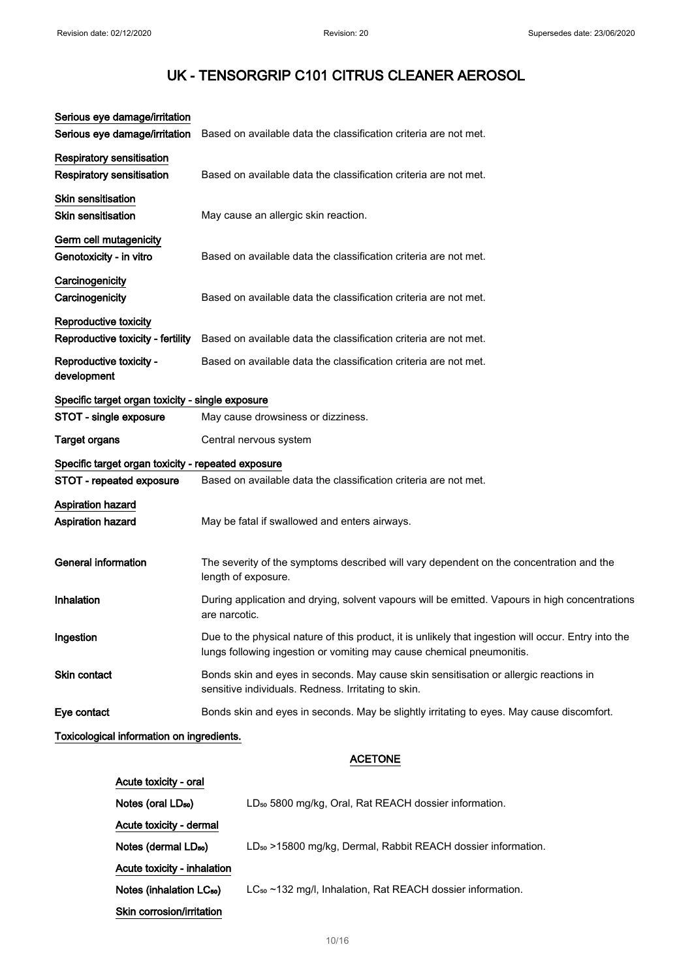| Serious eye damage/irritation                                        |                                                                                                                                                                               |
|----------------------------------------------------------------------|-------------------------------------------------------------------------------------------------------------------------------------------------------------------------------|
| Serious eye damage/irritation                                        | Based on available data the classification criteria are not met.                                                                                                              |
| <b>Respiratory sensitisation</b><br><b>Respiratory sensitisation</b> | Based on available data the classification criteria are not met.                                                                                                              |
| <b>Skin sensitisation</b><br><b>Skin sensitisation</b>               | May cause an allergic skin reaction.                                                                                                                                          |
| Germ cell mutagenicity<br>Genotoxicity - in vitro                    | Based on available data the classification criteria are not met.                                                                                                              |
| Carcinogenicity<br>Carcinogenicity                                   | Based on available data the classification criteria are not met.                                                                                                              |
| Reproductive toxicity<br>Reproductive toxicity - fertility           | Based on available data the classification criteria are not met.                                                                                                              |
| Reproductive toxicity -<br>development                               | Based on available data the classification criteria are not met.                                                                                                              |
| Specific target organ toxicity - single exposure                     |                                                                                                                                                                               |
| STOT - single exposure                                               | May cause drowsiness or dizziness.                                                                                                                                            |
| Target organs                                                        | Central nervous system                                                                                                                                                        |
| Specific target organ toxicity - repeated exposure                   |                                                                                                                                                                               |
| STOT - repeated exposure                                             | Based on available data the classification criteria are not met.                                                                                                              |
| Aspiration hazard<br>Aspiration hazard                               | May be fatal if swallowed and enters airways.                                                                                                                                 |
| <b>General information</b>                                           | The severity of the symptoms described will vary dependent on the concentration and the<br>length of exposure.                                                                |
| Inhalation                                                           | During application and drying, solvent vapours will be emitted. Vapours in high concentrations<br>are narcotic.                                                               |
| Ingestion                                                            | Due to the physical nature of this product, it is unlikely that ingestion will occur. Entry into the<br>lungs following ingestion or vomiting may cause chemical pneumonitis. |
| <b>Skin contact</b>                                                  | Bonds skin and eyes in seconds. May cause skin sensitisation or allergic reactions in<br>sensitive individuals. Redness. Irritating to skin.                                  |
| Eye contact                                                          | Bonds skin and eyes in seconds. May be slightly irritating to eyes. May cause discomfort.                                                                                     |
| Tovioological information on ingradiante                             |                                                                                                                                                                               |

Toxicological information on ingredients.

### ACETONE

| Acute toxicity - oral                |                                                                          |
|--------------------------------------|--------------------------------------------------------------------------|
| Notes (oral LD <sub>50</sub> )       | LD <sub>50</sub> 5800 mg/kg, Oral, Rat REACH dossier information.        |
| Acute toxicity - dermal              |                                                                          |
| Notes (dermal LD <sub>50</sub> )     | LD <sub>50</sub> >15800 mg/kg, Dermal, Rabbit REACH dossier information. |
| Acute toxicity - inhalation          |                                                                          |
| Notes (inhalation LC <sub>50</sub> ) | LC <sub>50</sub> ~132 mg/l, Inhalation, Rat REACH dossier information.   |
| Skin corrosion/irritation            |                                                                          |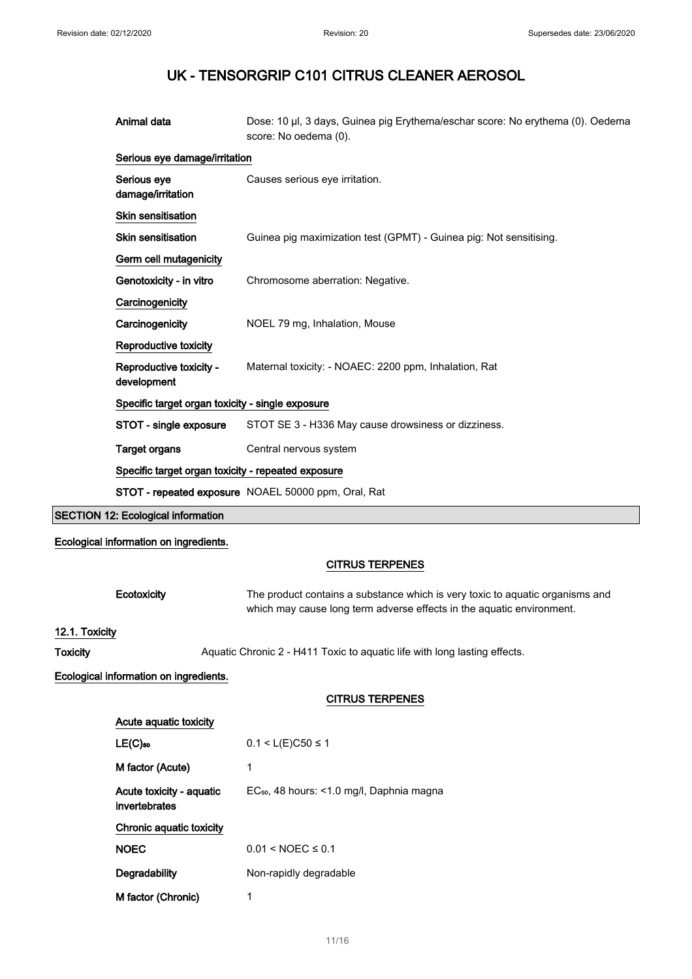**SECTION** 

# UK - TENSORGRIP C101 CITRUS CLEANER AEROSOL

| Animal data                                        | Dose: 10 µl, 3 days, Guinea pig Erythema/eschar score: No erythema (0). Oedema<br>score: No oedema (0).                                                                          |
|----------------------------------------------------|----------------------------------------------------------------------------------------------------------------------------------------------------------------------------------|
| Serious eye damage/irritation                      |                                                                                                                                                                                  |
| Serious eye<br>damage/irritation                   | Causes serious eye irritation.                                                                                                                                                   |
| Skin sensitisation                                 |                                                                                                                                                                                  |
| Skin sensitisation                                 | Guinea pig maximization test (GPMT) - Guinea pig: Not sensitising.                                                                                                               |
| Germ cell mutagenicity                             |                                                                                                                                                                                  |
| Genotoxicity - in vitro                            | Chromosome aberration: Negative.                                                                                                                                                 |
| Carcinogenicity                                    |                                                                                                                                                                                  |
| Carcinogenicity                                    | NOEL 79 mg, Inhalation, Mouse                                                                                                                                                    |
| Reproductive toxicity                              |                                                                                                                                                                                  |
| Reproductive toxicity -<br>development             | Maternal toxicity: - NOAEC: 2200 ppm, Inhalation, Rat                                                                                                                            |
| Specific target organ toxicity - single exposure   |                                                                                                                                                                                  |
| STOT - single exposure                             | STOT SE 3 - H336 May cause drowsiness or dizziness.                                                                                                                              |
| <b>Target organs</b>                               | Central nervous system                                                                                                                                                           |
| Specific target organ toxicity - repeated exposure |                                                                                                                                                                                  |
|                                                    |                                                                                                                                                                                  |
|                                                    | STOT - repeated exposure NOAEL 50000 ppm, Oral, Rat                                                                                                                              |
| <b>SECTION 12: Ecological information</b>          |                                                                                                                                                                                  |
| Ecological information on ingredients.             |                                                                                                                                                                                  |
|                                                    |                                                                                                                                                                                  |
| Ecotoxicity                                        | <b>CITRUS TERPENES</b><br>The product contains a substance which is very toxic to aquatic organisms and<br>which may cause long term adverse effects in the aquatic environment. |
| 12.1. Toxicity                                     |                                                                                                                                                                                  |
|                                                    | Aquatic Chronic 2 - H411 Toxic to aquatic life with long lasting effects.                                                                                                        |
| Ecological information on ingredients.             |                                                                                                                                                                                  |
|                                                    | <b>CITRUS TERPENES</b>                                                                                                                                                           |
| Acute aquatic toxicity                             |                                                                                                                                                                                  |
| $LE(C)$ <sub>50</sub>                              | $0.1 < L(E)C50 \le 1$                                                                                                                                                            |
| M factor (Acute)                                   | 1                                                                                                                                                                                |
| Acute toxicity - aquatic<br>invertebrates          | EC <sub>50</sub> , 48 hours: <1.0 mg/l, Daphnia magna                                                                                                                            |
| Chronic aquatic toxicity                           |                                                                                                                                                                                  |
| <b>NOEC</b>                                        | $0.01 < NOEC \le 0.1$                                                                                                                                                            |
| Degradability                                      | Non-rapidly degradable                                                                                                                                                           |
|                                                    |                                                                                                                                                                                  |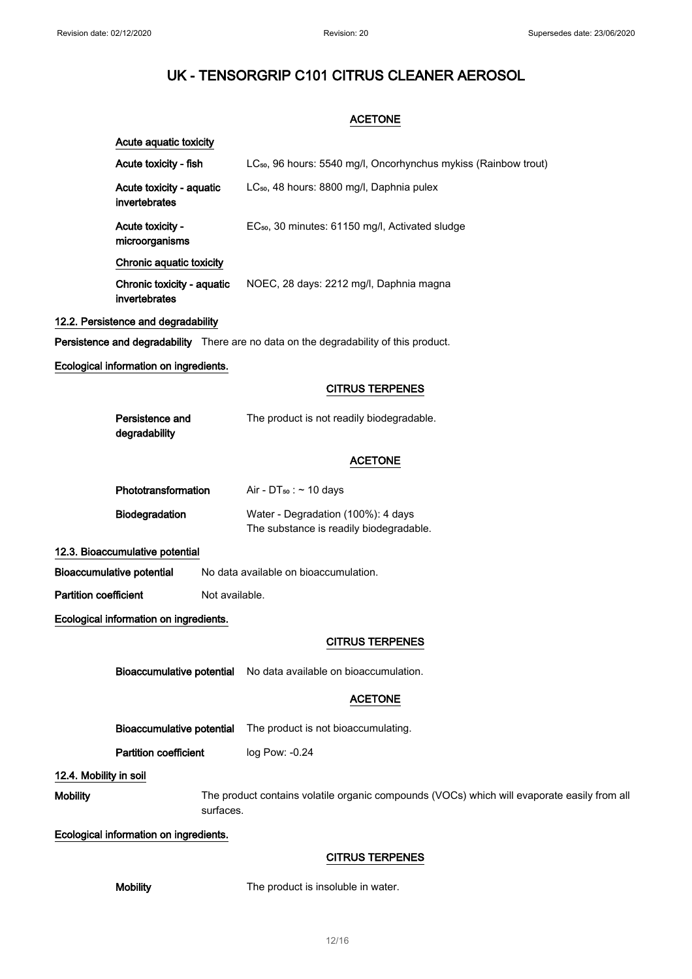### **ACETONE**

|                              | Acute aquatic toxicity                      |                                                                                             |
|------------------------------|---------------------------------------------|---------------------------------------------------------------------------------------------|
|                              | Acute toxicity - fish                       | LC <sub>50</sub> , 96 hours: 5540 mg/l, Oncorhynchus mykiss (Rainbow trout)                 |
|                              | Acute toxicity - aquatic<br>invertebrates   | LC <sub>50</sub> , 48 hours: 8800 mg/l, Daphnia pulex                                       |
|                              | Acute toxicity -<br>microorganisms          | EC <sub>50</sub> , 30 minutes: 61150 mg/l, Activated sludge                                 |
|                              | Chronic aquatic toxicity                    |                                                                                             |
|                              | Chronic toxicity - aquatic<br>invertebrates | NOEC, 28 days: 2212 mg/l, Daphnia magna                                                     |
|                              | 12.2. Persistence and degradability         |                                                                                             |
|                              |                                             | Persistence and degradability There are no data on the degradability of this product.       |
|                              | Ecological information on ingredients.      |                                                                                             |
|                              |                                             | <b>CITRUS TERPENES</b>                                                                      |
|                              | Persistence and<br>degradability            | The product is not readily biodegradable.                                                   |
|                              |                                             | <b>ACETONE</b>                                                                              |
|                              | Phototransformation                         | Air - $DT_{50}$ : $\sim$ 10 days                                                            |
|                              | Biodegradation                              | Water - Degradation (100%): 4 days<br>The substance is readily biodegradable.               |
|                              | 12.3. Bioaccumulative potential             |                                                                                             |
|                              | <b>Bioaccumulative potential</b>            | No data available on bioaccumulation.                                                       |
| <b>Partition coefficient</b> | Not available.                              |                                                                                             |
|                              | Ecological information on ingredients.      |                                                                                             |
|                              |                                             | <b>CITRUS TERPENES</b>                                                                      |
|                              |                                             | Bioaccumulative potential No data available on bioaccumulation.                             |
|                              |                                             | <b>ACETONE</b>                                                                              |
|                              | <b>Bioaccumulative potential</b>            | The product is not bioaccumulating.                                                         |
|                              | <b>Partition coefficient</b>                | log Pow: -0.24                                                                              |
| 12.4. Mobility in soil       |                                             |                                                                                             |
| <b>Mobility</b>              | surfaces.                                   | The product contains volatile organic compounds (VOCs) which will evaporate easily from all |
|                              | Ecological information on ingredients.      |                                                                                             |
|                              |                                             | <b>CITRUS TERPENES</b>                                                                      |
|                              | <b>Mobility</b>                             | The product is insoluble in water.                                                          |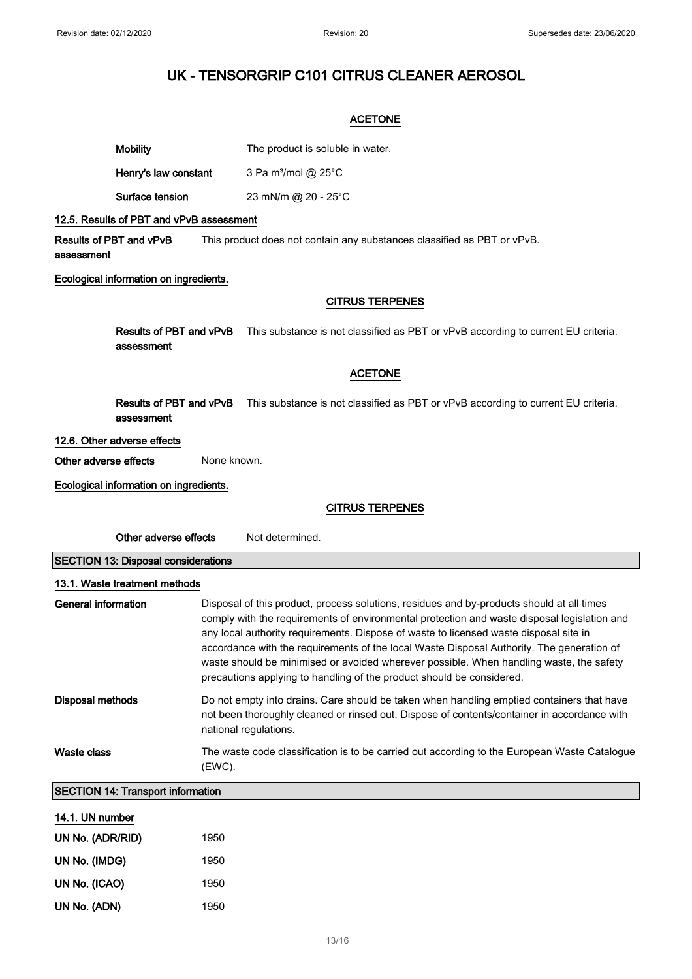### ACETONE

| Mobility | The product is soluble in water. |
|----------|----------------------------------|
|          |                                  |

Henry's law constant  $3$  Pa m<sup>3</sup>/mol @ 25 $^{\circ}$ C

Surface tension 23 mN/m @ 20 - 25°C

#### 12.5. Results of PBT and vPvB assessment

Results of PBT and vPvB assessment This product does not contain any substances classified as PBT or vPvB.

### Ecological information on ingredients.

### CITRUS TERPENES

Results of PBT and vPvB This substance is not classified as PBT or vPvB according to current EU criteria. assessment

### ACETONE

Results of PBT and vPvB This substance is not classified as PBT or vPvB according to current EU criteria. assessment

#### 12.6. Other adverse effects

Other adverse effects None known.

Ecological information on ingredients.

### CITRUS TERPENES

| Other adverse effects                      | Not determined.                                                                                                                                                                                                                                                                                                                                                                                                                                                                                                                                    |  |
|--------------------------------------------|----------------------------------------------------------------------------------------------------------------------------------------------------------------------------------------------------------------------------------------------------------------------------------------------------------------------------------------------------------------------------------------------------------------------------------------------------------------------------------------------------------------------------------------------------|--|
| <b>SECTION 13: Disposal considerations</b> |                                                                                                                                                                                                                                                                                                                                                                                                                                                                                                                                                    |  |
| 13.1. Waste treatment methods              |                                                                                                                                                                                                                                                                                                                                                                                                                                                                                                                                                    |  |
| General information                        | Disposal of this product, process solutions, residues and by-products should at all times<br>comply with the requirements of environmental protection and waste disposal legislation and<br>any local authority requirements. Dispose of waste to licensed waste disposal site in<br>accordance with the requirements of the local Waste Disposal Authority. The generation of<br>waste should be minimised or avoided wherever possible. When handling waste, the safety<br>precautions applying to handling of the product should be considered. |  |
| Disposal methods                           | Do not empty into drains. Care should be taken when handling emptied containers that have<br>not been thoroughly cleaned or rinsed out. Dispose of contents/container in accordance with<br>national regulations.                                                                                                                                                                                                                                                                                                                                  |  |
| Waste class                                | The waste code classification is to be carried out according to the European Waste Catalogue<br>(EWC).                                                                                                                                                                                                                                                                                                                                                                                                                                             |  |
| <b>SECTION 14: Transport information</b>   |                                                                                                                                                                                                                                                                                                                                                                                                                                                                                                                                                    |  |
| 14.1. UN number                            |                                                                                                                                                                                                                                                                                                                                                                                                                                                                                                                                                    |  |
| UN No. (ADR/RID)                           | 1950                                                                                                                                                                                                                                                                                                                                                                                                                                                                                                                                               |  |

| UN No. (IMDG) | 1950 |
|---------------|------|
| UN No. (ICAO) | 1950 |
| UN No. (ADN)  | 1950 |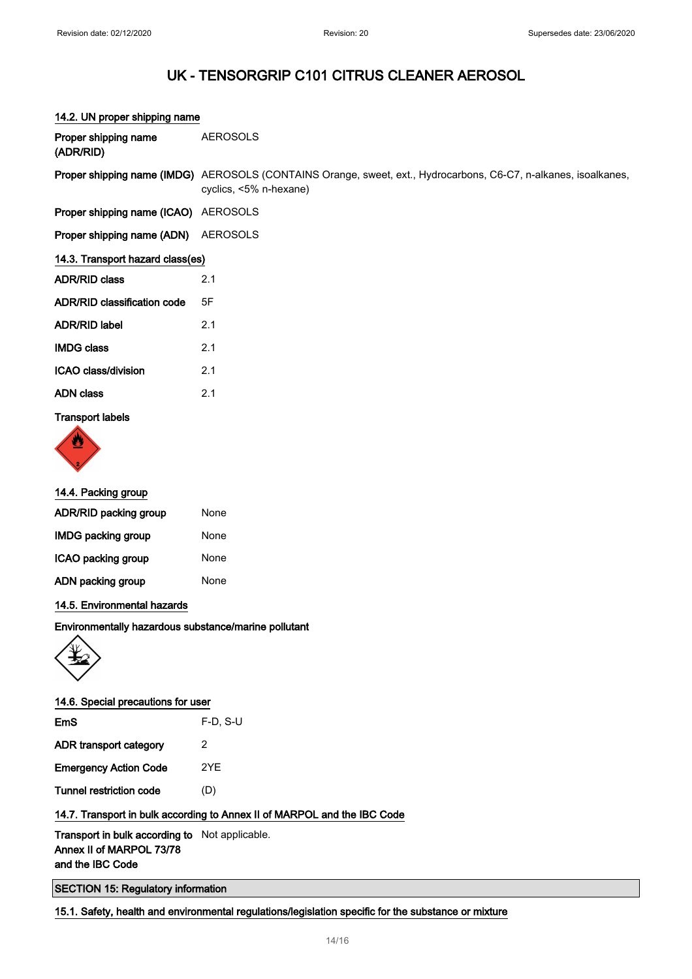14.2. UN proper shipping name

### UK - TENSORGRIP C101 CITRUS CLEANER AEROSOL

# Proper shipping name (ADR/RID) AEROSOLS Proper shipping name (IMDG) AEROSOLS (CONTAINS Orange, sweet, ext., Hydrocarbons, C6-C7, n-alkanes, isoalkanes, cyclics, <5% n-hexane) Proper shipping name (ICAO) AEROSOLS Proper shipping name (ADN) AEROSOLS 14.3. Transport hazard class(es) ADR/RID class 2.1 ADR/RID classification code 5F ADR/RID label 2.1 IMDG class 2.1 ICAO class/division 2.1 ADN class 2.1 Transport labels



### 14.4. Packing group

| ADR/RID packing group     | None |
|---------------------------|------|
| <b>IMDG packing group</b> | None |
| ICAO packing group        | None |
| ADN packing group         | None |
|                           |      |

### 14.5. Environmental hazards

### Environmentally hazardous substance/marine pollutant



### 14.6. Special precautions for user

| EmS                          | $F-D. S-U$ |
|------------------------------|------------|
| ADR transport category       | 2          |
| <b>Emergency Action Code</b> | 2YF        |
| Tunnel restriction code      | (D)        |

### 14.7. Transport in bulk according to Annex II of MARPOL and the IBC Code

### Transport in bulk according to Not applicable. Annex II of MARPOL 73/78 and the IBC Code

### SECTION 15: Regulatory information

### 15.1. Safety, health and environmental regulations/legislation specific for the substance or mixture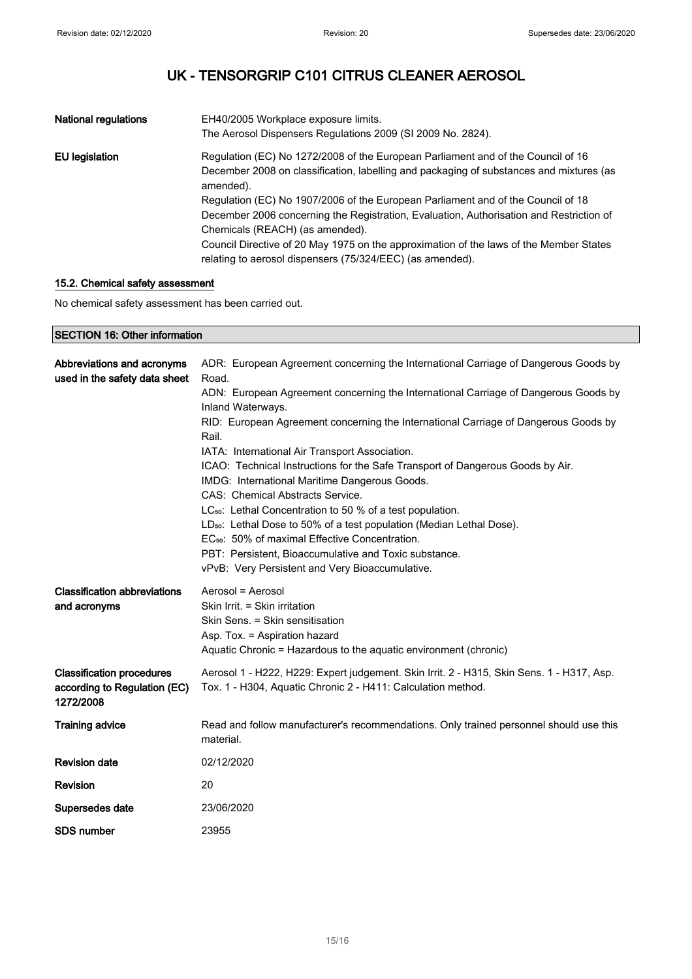| National regulations | EH40/2005 Workplace exposure limits.<br>The Aerosol Dispensers Regulations 2009 (SI 2009 No. 2824).                                                                                                                                                                                                                                                                                                                                                                                                                                                               |
|----------------------|-------------------------------------------------------------------------------------------------------------------------------------------------------------------------------------------------------------------------------------------------------------------------------------------------------------------------------------------------------------------------------------------------------------------------------------------------------------------------------------------------------------------------------------------------------------------|
| EU legislation       | Regulation (EC) No 1272/2008 of the European Parliament and of the Council of 16<br>December 2008 on classification, labelling and packaging of substances and mixtures (as<br>amended).<br>Regulation (EC) No 1907/2006 of the European Parliament and of the Council of 18<br>December 2006 concerning the Registration, Evaluation, Authorisation and Restriction of<br>Chemicals (REACH) (as amended).<br>Council Directive of 20 May 1975 on the approximation of the laws of the Member States<br>relating to aerosol dispensers (75/324/EEC) (as amended). |

### 15.2. Chemical safety assessment

No chemical safety assessment has been carried out.

| <b>SECTION 16: Other information</b>                                          |                                                                                                                                                                                                                                                                                                                                                                                                                                                                                                                                   |  |
|-------------------------------------------------------------------------------|-----------------------------------------------------------------------------------------------------------------------------------------------------------------------------------------------------------------------------------------------------------------------------------------------------------------------------------------------------------------------------------------------------------------------------------------------------------------------------------------------------------------------------------|--|
| Abbreviations and acronyms<br>used in the safety data sheet                   | ADR: European Agreement concerning the International Carriage of Dangerous Goods by<br>Road.<br>ADN: European Agreement concerning the International Carriage of Dangerous Goods by<br>Inland Waterways.<br>RID: European Agreement concerning the International Carriage of Dangerous Goods by<br>Rail.<br>IATA: International Air Transport Association.<br>ICAO: Technical Instructions for the Safe Transport of Dangerous Goods by Air.<br>IMDG: International Maritime Dangerous Goods.<br>CAS: Chemical Abstracts Service. |  |
|                                                                               | LC <sub>50</sub> : Lethal Concentration to 50 % of a test population.<br>LD <sub>50</sub> : Lethal Dose to 50% of a test population (Median Lethal Dose).<br>EC <sub>50</sub> : 50% of maximal Effective Concentration.<br>PBT: Persistent, Bioaccumulative and Toxic substance.<br>vPvB: Very Persistent and Very Bioaccumulative.                                                                                                                                                                                               |  |
| <b>Classification abbreviations</b><br>and acronyms                           | Aerosol = Aerosol<br>Skin Irrit. = Skin irritation<br>Skin Sens. = Skin sensitisation<br>Asp. Tox. = Aspiration hazard<br>Aquatic Chronic = Hazardous to the aquatic environment (chronic)                                                                                                                                                                                                                                                                                                                                        |  |
| <b>Classification procedures</b><br>according to Regulation (EC)<br>1272/2008 | Aerosol 1 - H222, H229: Expert judgement. Skin Irrit. 2 - H315, Skin Sens. 1 - H317, Asp.<br>Tox. 1 - H304, Aquatic Chronic 2 - H411: Calculation method.                                                                                                                                                                                                                                                                                                                                                                         |  |
| <b>Training advice</b>                                                        | Read and follow manufacturer's recommendations. Only trained personnel should use this<br>material.                                                                                                                                                                                                                                                                                                                                                                                                                               |  |
| <b>Revision date</b>                                                          | 02/12/2020                                                                                                                                                                                                                                                                                                                                                                                                                                                                                                                        |  |
| Revision                                                                      | 20                                                                                                                                                                                                                                                                                                                                                                                                                                                                                                                                |  |
| Supersedes date                                                               | 23/06/2020                                                                                                                                                                                                                                                                                                                                                                                                                                                                                                                        |  |
| <b>SDS number</b>                                                             | 23955                                                                                                                                                                                                                                                                                                                                                                                                                                                                                                                             |  |